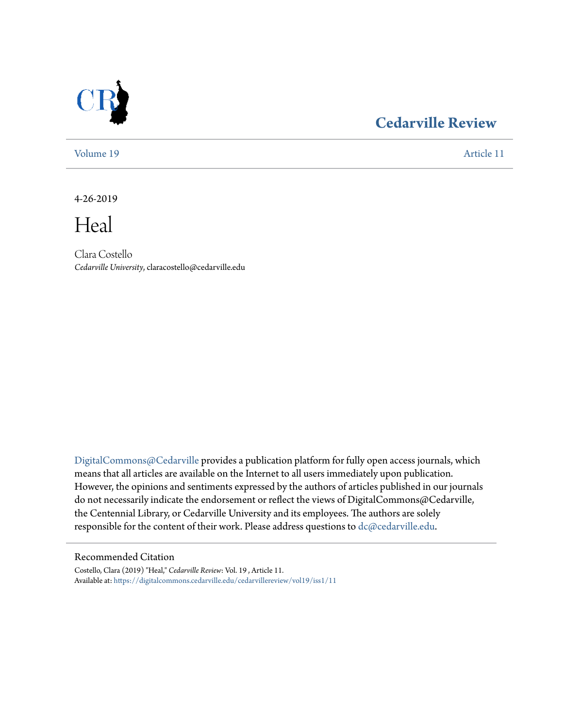

## **[Cedarville Review](https://digitalcommons.cedarville.edu/cedarvillereview?utm_source=digitalcommons.cedarville.edu%2Fcedarvillereview%2Fvol19%2Fiss1%2F11&utm_medium=PDF&utm_campaign=PDFCoverPages)**

[Volume 19](https://digitalcommons.cedarville.edu/cedarvillereview/vol19?utm_source=digitalcommons.cedarville.edu%2Fcedarvillereview%2Fvol19%2Fiss1%2F11&utm_medium=PDF&utm_campaign=PDFCoverPages) [Article 11](https://digitalcommons.cedarville.edu/cedarvillereview/vol19/iss1/11?utm_source=digitalcommons.cedarville.edu%2Fcedarvillereview%2Fvol19%2Fiss1%2F11&utm_medium=PDF&utm_campaign=PDFCoverPages)

4-26-2019

Heal

Clara Costello *Cedarville University*, claracostello@cedarville.edu

[DigitalCommons@Cedarville](http://digitalcommons.cedarville.edu/) provides a publication platform for fully open access journals, which means that all articles are available on the Internet to all users immediately upon publication. However, the opinions and sentiments expressed by the authors of articles published in our journals do not necessarily indicate the endorsement or reflect the views of DigitalCommons@Cedarville, the Centennial Library, or Cedarville University and its employees. The authors are solely responsible for the content of their work. Please address questions to [dc@cedarville.edu](mailto:dc@cedarville.edu).

### Recommended Citation

Costello, Clara (2019) "Heal," *Cedarville Review*: Vol. 19 , Article 11. Available at: [https://digitalcommons.cedarville.edu/cedarvillereview/vol19/iss1/11](https://digitalcommons.cedarville.edu/cedarvillereview/vol19/iss1/11?utm_source=digitalcommons.cedarville.edu%2Fcedarvillereview%2Fvol19%2Fiss1%2F11&utm_medium=PDF&utm_campaign=PDFCoverPages)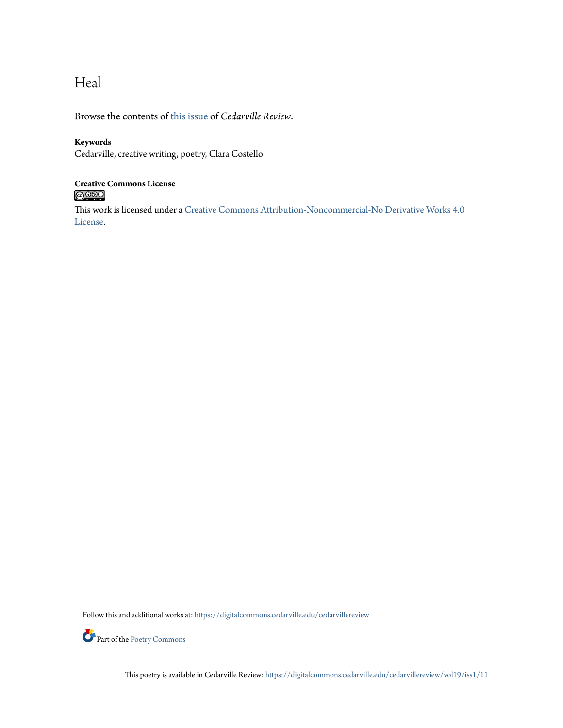## Heal

Browse the contents of [this issue](https://digitalcommons.cedarville.edu/cedarvillereview/vol19/iss1) of *Cedarville Review*.

## **Keywords**

Cedarville, creative writing, poetry, Clara Costello

# **Creative Commons License**

This work is licensed under a [Creative Commons Attribution-Noncommercial-No Derivative Works 4.0](http://creativecommons.org/licenses/by-nc-nd/4.0/) [License.](http://creativecommons.org/licenses/by-nc-nd/4.0/)

Follow this and additional works at: [https://digitalcommons.cedarville.edu/cedarvillereview](https://digitalcommons.cedarville.edu/cedarvillereview?utm_source=digitalcommons.cedarville.edu%2Fcedarvillereview%2Fvol19%2Fiss1%2F11&utm_medium=PDF&utm_campaign=PDFCoverPages)



Part of the <u>[Poetry Commons](http://network.bepress.com/hgg/discipline/1153?utm_source=digitalcommons.cedarville.edu%2Fcedarvillereview%2Fvol19%2Fiss1%2F11&utm_medium=PDF&utm_campaign=PDFCoverPages)</u>

This poetry is available in Cedarville Review: [https://digitalcommons.cedarville.edu/cedarvillereview/vol19/iss1/11](https://digitalcommons.cedarville.edu/cedarvillereview/vol19/iss1/11?utm_source=digitalcommons.cedarville.edu%2Fcedarvillereview%2Fvol19%2Fiss1%2F11&utm_medium=PDF&utm_campaign=PDFCoverPages)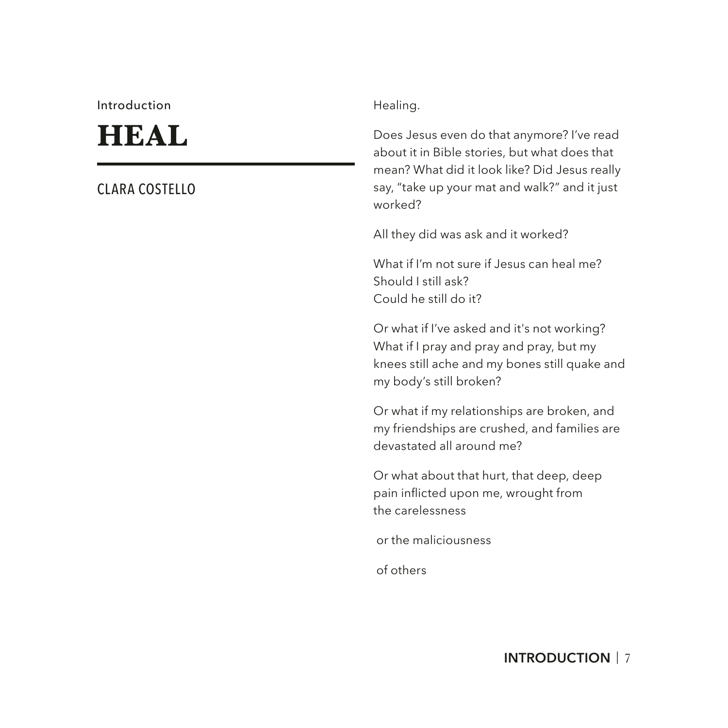#### Introduction

# **HEAL**

## CLARA COSTELLO

#### Healing.

Does Jesus even do that anymore? I've read about it in Bible stories, but what does that mean? What did it look like? Did Jesus really say, "take up your mat and walk?" and it just worked?

All they did was ask and it worked?

What if I'm not sure if Jesus can heal me? Should I still ask? Could he still do it?

Or what if I've asked and it's not working? What if I pray and pray and pray, but my knees still ache and my bones still quake and my body's still broken?

Or what if my relationships are broken, and my friendships are crushed, and families are devastated all around me?

Or what about that hurt, that deep, deep pain inficted upon me, wrought from the carelessness

or the maliciousness

of others

### **INTRODUCTION** | 7